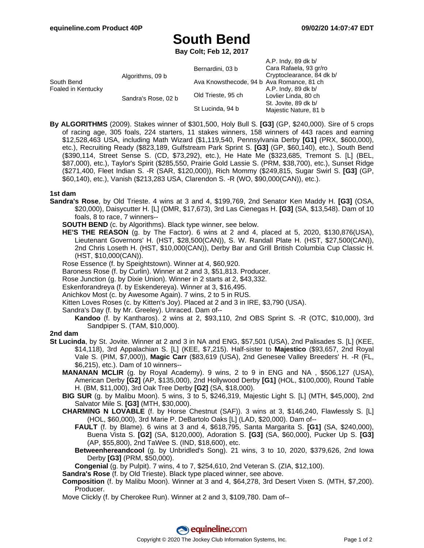# **South Bend**

**Bay Colt; Feb 12, 2017**

| South Bend<br>Foaled in Kentucky | Algorithms, 09 b    | Bernardini, 03 b                          | A.P. Indy, 89 dk b/<br>Cara Rafaela, 93 gr/ro<br>Cryptoclearance, 84 dk b/                   |
|----------------------------------|---------------------|-------------------------------------------|----------------------------------------------------------------------------------------------|
|                                  |                     | Ava Knowsthecode, 94 b Ava Romance, 81 ch |                                                                                              |
|                                  | Sandra's Rose, 02 b | Old Trieste, 95 ch                        | A.P. Indy, 89 dk b/<br>Lovlier Linda, 80 ch<br>St. Jovite, 89 dk b/<br>Majestic Nature, 81 b |
|                                  |                     | St Lucinda, 94 b                          |                                                                                              |

**By ALGORITHMS** (2009). Stakes winner of \$301,500, Holy Bull S. **[G3]** (GP, \$240,000). Sire of 5 crops of racing age, 305 foals, 224 starters, 11 stakes winners, 158 winners of 443 races and earning \$12,528,463 USA, including Math Wizard (\$1,119,540, Pennsylvania Derby **[G1]** (PRX, \$600,000), etc.), Recruiting Ready (\$823,189, Gulfstream Park Sprint S. **[G3]** (GP, \$60,140), etc.), South Bend (\$390,114, Street Sense S. (CD, \$73,292), etc.), He Hate Me (\$323,685, Tremont S. [L] (BEL, \$87,000), etc.), Taylor's Spirit (\$285,550, Prairie Gold Lassie S. (PRM, \$38,700), etc.), Sunset Ridge (\$271,400, Fleet Indian S. -R (SAR, \$120,000)), Rich Mommy (\$249,815, Sugar Swirl S. **[G3]** (GP, \$60,140), etc.), Vanish (\$213,283 USA, Clarendon S. -R (WO, \$90,000(CAN)), etc.).

### **1st dam**

- **Sandra's Rose**, by Old Trieste. 4 wins at 3 and 4, \$199,769, 2nd Senator Ken Maddy H. **[G3]** (OSA, \$20,000), Daisycutter H. [L] (DMR, \$17,673), 3rd Las Cienegas H. **[G3]** (SA, \$13,548). Dam of 10 foals, 8 to race, 7 winners--
	- **SOUTH BEND** (c. by Algorithms). Black type winner, see below.
	- **HE'S THE REASON** (g. by The Factor). 6 wins at 2 and 4, placed at 5, 2020, \$130,876(USA), Lieutenant Governors' H. (HST, \$28,500(CAN)), S. W. Randall Plate H. (HST, \$27,500(CAN)), 2nd Chris Loseth H. (HST, \$10,000(CAN)), Derby Bar and Grill British Columbia Cup Classic H. (HST, \$10,000(CAN)).
	- Rose Essence (f. by Speightstown). Winner at 4, \$60,920.
	- Baroness Rose (f. by Curlin). Winner at 2 and 3, \$51,813. Producer.
	- Rose Junction (g. by Dixie Union). Winner in 2 starts at 2, \$43,332.
	- Eskenforandreya (f. by Eskendereya). Winner at 3, \$16,495.
	- Anichkov Most (c. by Awesome Again). 7 wins, 2 to 5 in RUS.
	- Kitten Loves Roses (c. by Kitten's Joy). Placed at 2 and 3 in IRE, \$3,790 (USA).
	- Sandra's Day (f. by Mr. Greeley). Unraced. Dam of--
		- **Kandoo** (f. by Kantharos). 2 wins at 2, \$93,110, 2nd OBS Sprint S. -R (OTC, \$10,000), 3rd Sandpiper S. (TAM, \$10,000).

### **2nd dam**

- **St Lucinda**, by St. Jovite. Winner at 2 and 3 in NA and ENG, \$57,501 (USA), 2nd Palisades S. [L] (KEE, \$14,118), 3rd Appalachian S. [L] (KEE, \$7,215). Half-sister to **Majestico** (\$93,657, 2nd Royal Vale S. (PIM, \$7,000)), **Magic Carr** (\$83,619 (USA), 2nd Genesee Valley Breeders' H. -R (FL, \$6,215), etc.). Dam of 10 winners--
	- **MANANAN MCLIR** (g. by Royal Academy). 9 wins, 2 to 9 in ENG and NA , \$506,127 (USA), American Derby **[G2]** (AP, \$135,000), 2nd Hollywood Derby **[G1]** (HOL, \$100,000), Round Table H. (BM, \$11,000), 3rd Oak Tree Derby **[G2]** (SA, \$18,000).
	- **BIG SUR** (g. by Malibu Moon). 5 wins, 3 to 5, \$246,319, Majestic Light S. [L] (MTH, \$45,000), 2nd Salvator Mile S. **[G3]** (MTH, \$30,000).
	- **CHARMING N LOVABLE** (f. by Horse Chestnut (SAF)). 3 wins at 3, \$146,240, Flawlessly S. [L] (HOL, \$60,000), 3rd Marie P. DeBartolo Oaks [L] (LAD, \$20,000). Dam of--
		- **FAULT** (f. by Blame). 6 wins at 3 and 4, \$618,795, Santa Margarita S. **[G1]** (SA, \$240,000), Buena Vista S. **[G2]** (SA, \$120,000), Adoration S. **[G3]** (SA, \$60,000), Pucker Up S. **[G3]** (AP, \$55,800), 2nd TaWee S. (IND, \$18,600), etc.
		- **Betweenhereandcool** (g. by Unbridled's Song). 21 wins, 3 to 10, 2020, \$379,626, 2nd Iowa Derby **[G3]** (PRM, \$50,000).
		- **Congenial** (g. by Pulpit). 7 wins, 4 to 7, \$254,610, 2nd Veteran S. (ZIA, \$12,100).
	- **Sandra's Rose** (f. by Old Trieste). Black type placed winner, see above.
	- **Composition** (f. by Malibu Moon). Winner at 3 and 4, \$64,278, 3rd Desert Vixen S. (MTH, \$7,200). Producer.
	- Move Clickly (f. by Cherokee Run). Winner at 2 and 3, \$109,780. Dam of--